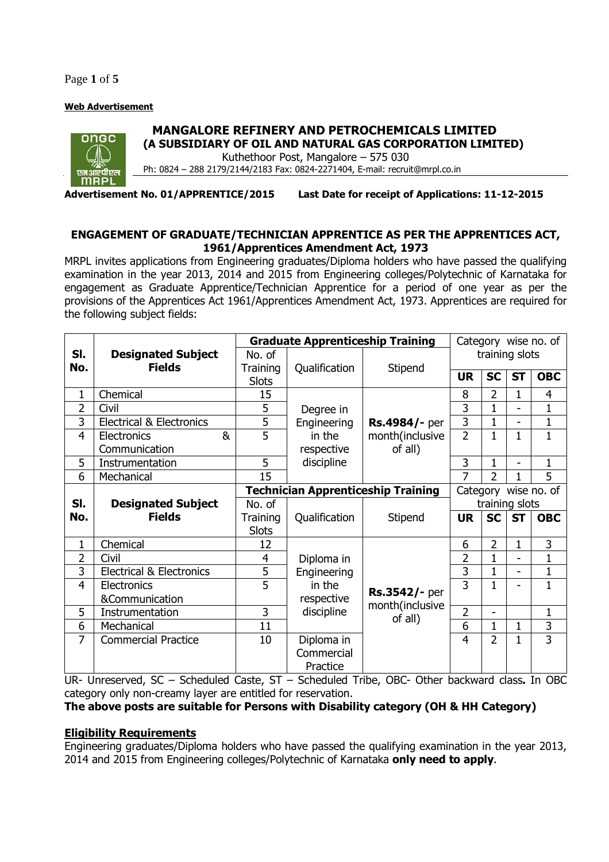Page **1** of **5**

### **Web Advertisement**



# **MANGALORE REFINERY AND PETROCHEMICALS LIMITED**

**(A SUBSIDIARY OF OIL AND NATURAL GAS CORPORATION LIMITED)**  Kuthethoor Post, Mangalore – 575 030

Ph: 0824 – 288 2179/2144/2183 Fax: 0824-2271404, E-mail: recruit@mrpl.co.in

**Advertisement No. 01/APPRENTICE/2015 Last Date for receipt of Applications: 11-12-2015** 

## **ENGAGEMENT OF GRADUATE/TECHNICIAN APPRENTICE AS PER THE APPRENTICES ACT, 1961/Apprentices Amendment Act, 1973**

MRPL invites applications from Engineering graduates/Diploma holders who have passed the qualifying examination in the year 2013, 2014 and 2015 from Engineering colleges/Polytechnic of Karnataka for engagement as Graduate Apprentice/Technician Apprentice for a period of one year as per the provisions of the Apprentices Act 1961/Apprentices Amendment Act, 1973. Apprentices are required for the following subject fields:

|                |                                     | <b>Graduate Apprenticeship Training</b> |                                           |                                             | Category wise no. of |                      |                          |                |
|----------------|-------------------------------------|-----------------------------------------|-------------------------------------------|---------------------------------------------|----------------------|----------------------|--------------------------|----------------|
| SI.            | <b>Designated Subject</b>           | No. of                                  |                                           |                                             | training slots       |                      |                          |                |
| No.            | <b>Fields</b>                       | <b>Training</b>                         | Qualification                             | Stipend                                     | <b>UR</b>            | <b>SC</b>            | <b>ST</b>                | <b>OBC</b>     |
|                |                                     | <b>Slots</b>                            |                                           |                                             |                      |                      |                          |                |
| 1              | Chemical                            | 15                                      |                                           |                                             | 8                    | $\overline{2}$       | 1                        | 4              |
| 2              | Civil                               | 5                                       | Degree in                                 |                                             | 3                    | $\mathbf{1}$         |                          | $\mathbf 1$    |
| 3              | <b>Electrical &amp; Electronics</b> | 5                                       | Engineering                               | Rs.4984/- per                               | 3                    | $\mathbf 1$          | $\overline{\phantom{0}}$ | $\mathbf 1$    |
| 4              | &<br>Electronics                    | 5                                       | in the                                    | month(inclusive                             | $\overline{2}$       | $\mathbf{1}$         | $\mathbf 1$              | $\mathbf 1$    |
|                | Communication                       |                                         | respective                                | of all)                                     |                      |                      |                          |                |
| 5              | Instrumentation                     | 5                                       | discipline                                |                                             | 3                    | 1                    | $\blacksquare$           | 1              |
| 6              | Mechanical                          | 15                                      |                                           |                                             | 7                    | $\overline{2}$       | 1                        | 5              |
|                |                                     |                                         | <b>Technician Apprenticeship Training</b> |                                             |                      | Category wise no. of |                          |                |
| SI.            | <b>Designated Subject</b>           | No. of                                  |                                           |                                             | training slots       |                      |                          |                |
| No.            | <b>Fields</b>                       | Training                                | Qualification                             | Stipend                                     | <b>UR</b>            | <b>SC</b>            | <b>ST</b>                | <b>OBC</b>     |
|                |                                     | <b>Slots</b>                            |                                           |                                             |                      |                      |                          |                |
| 1              | Chemical                            | 12                                      |                                           |                                             | 6                    | 2                    | 1                        | 3              |
| $\overline{2}$ | Civil                               | 4                                       | Diploma in                                |                                             | 2                    | 1                    |                          | $\mathbf 1$    |
| 3              | <b>Electrical &amp; Electronics</b> | 5                                       | Engineering                               |                                             | 3                    | 1                    |                          | $\mathbf{1}$   |
| 4              | Electronics                         | 5                                       | in the                                    | Rs.3542/- per<br>month(inclusive<br>of all) | 3                    | 1                    |                          | 1              |
|                | &Communication                      |                                         | respective                                |                                             |                      |                      |                          |                |
| 5              | Instrumentation                     | 3                                       | discipline                                |                                             | $\overline{2}$       |                      |                          | $\mathbf{1}$   |
| 6              | Mechanical                          | 11                                      |                                           |                                             | 6                    | 1                    | 1                        | 3              |
| 7              | <b>Commercial Practice</b>          | 10                                      | Diploma in                                |                                             | 4                    | $\overline{2}$       | 1                        | $\overline{3}$ |
|                |                                     |                                         | Commercial                                |                                             |                      |                      |                          |                |
|                |                                     |                                         | Practice                                  |                                             |                      |                      |                          |                |

UR- Unreserved, SC – Scheduled Caste, ST – Scheduled Tribe, OBC- Other backward class**.** In OBC category only non-creamy layer are entitled for reservation.

# **The above posts are suitable for Persons with Disability category (OH & HH Category)**

### **Eligibility Requirements**

Engineering graduates/Diploma holders who have passed the qualifying examination in the year 2013, 2014 and 2015 from Engineering colleges/Polytechnic of Karnataka **only need to apply**.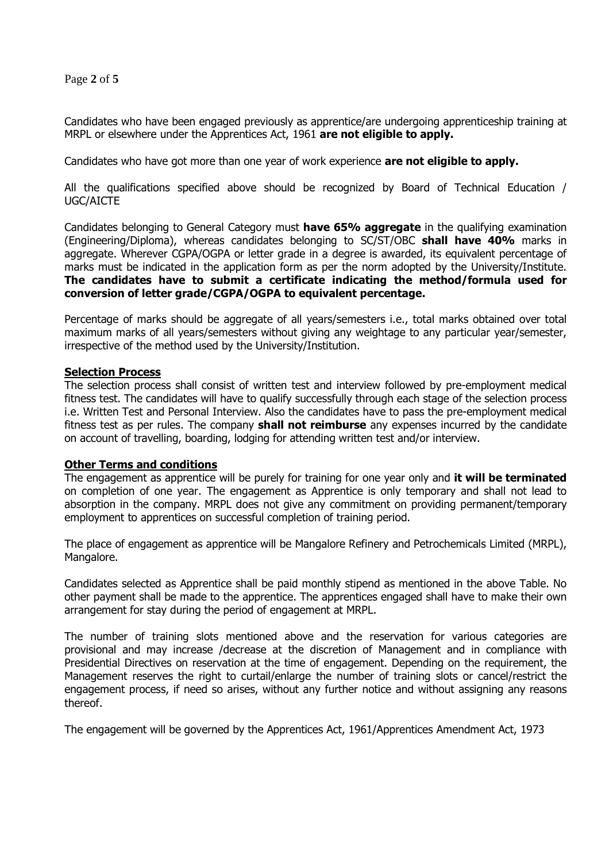Page **2** of **5**

Candidates who have been engaged previously as apprentice/are undergoing apprenticeship training at MRPL or elsewhere under the Apprentices Act, 1961 **are not eligible to apply.** 

Candidates who have got more than one year of work experience **are not eligible to apply.** 

All the qualifications specified above should be recognized by Board of Technical Education / UGC/AICTE

Candidates belonging to General Category must **have 65% aggregate** in the qualifying examination (Engineering/Diploma), whereas candidates belonging to SC/ST/OBC **shall have 40%** marks in aggregate. Wherever CGPA/OGPA or letter grade in a degree is awarded, its equivalent percentage of marks must be indicated in the application form as per the norm adopted by the University/Institute. **The candidates have to submit a certificate indicating the method/formula used for conversion of letter grade/CGPA/OGPA to equivalent percentage.** 

Percentage of marks should be aggregate of all years/semesters i.e., total marks obtained over total maximum marks of all years/semesters without giving any weightage to any particular year/semester, irrespective of the method used by the University/Institution.

#### **Selection Process**

The selection process shall consist of written test and interview followed by pre-employment medical fitness test. The candidates will have to qualify successfully through each stage of the selection process i.e. Written Test and Personal Interview. Also the candidates have to pass the pre-employment medical fitness test as per rules. The company **shall not reimburse** any expenses incurred by the candidate on account of travelling, boarding, lodging for attending written test and/or interview.

#### **Other Terms and conditions**

The engagement as apprentice will be purely for training for one year only and **it will be terminated** on completion of one year. The engagement as Apprentice is only temporary and shall not lead to absorption in the company. MRPL does not give any commitment on providing permanent/temporary employment to apprentices on successful completion of training period.

The place of engagement as apprentice will be Mangalore Refinery and Petrochemicals Limited (MRPL), Mangalore.

Candidates selected as Apprentice shall be paid monthly stipend as mentioned in the above Table. No other payment shall be made to the apprentice. The apprentices engaged shall have to make their own arrangement for stay during the period of engagement at MRPL.

The number of training slots mentioned above and the reservation for various categories are provisional and may increase /decrease at the discretion of Management and in compliance with Presidential Directives on reservation at the time of engagement. Depending on the requirement, the Management reserves the right to curtail/enlarge the number of training slots or cancel/restrict the engagement process, if need so arises, without any further notice and without assigning any reasons thereof.

The engagement will be governed by the Apprentices Act, 1961/Apprentices Amendment Act, 1973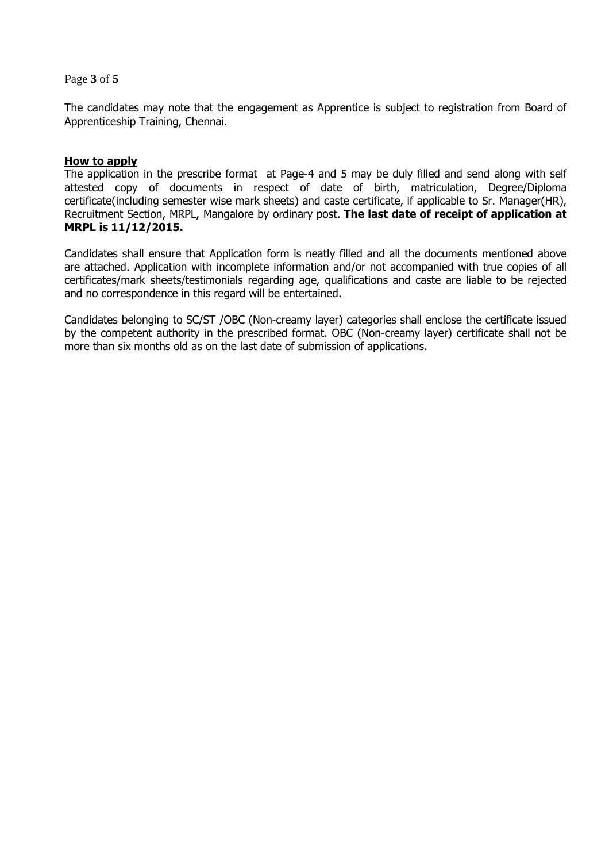Page **3** of **5**

The candidates may note that the engagement as Apprentice is subject to registration from Board of Apprenticeship Training, Chennai.

### **How to apply**

The application in the prescribe format at Page-4 and 5 may be duly filled and send along with self attested copy of documents in respect of date of birth, matriculation, Degree/Diploma certificate(including semester wise mark sheets) and caste certificate, if applicable to Sr. Manager(HR), Recruitment Section, MRPL, Mangalore by ordinary post. **The last date of receipt of application at MRPL is 11/12/2015.** 

Candidates shall ensure that Application form is neatly filled and all the documents mentioned above are attached. Application with incomplete information and/or not accompanied with true copies of all certificates/mark sheets/testimonials regarding age, qualifications and caste are liable to be rejected and no correspondence in this regard will be entertained.

Candidates belonging to SC/ST /OBC (Non-creamy layer) categories shall enclose the certificate issued by the competent authority in the prescribed format. OBC (Non-creamy layer) certificate shall not be more than six months old as on the last date of submission of applications.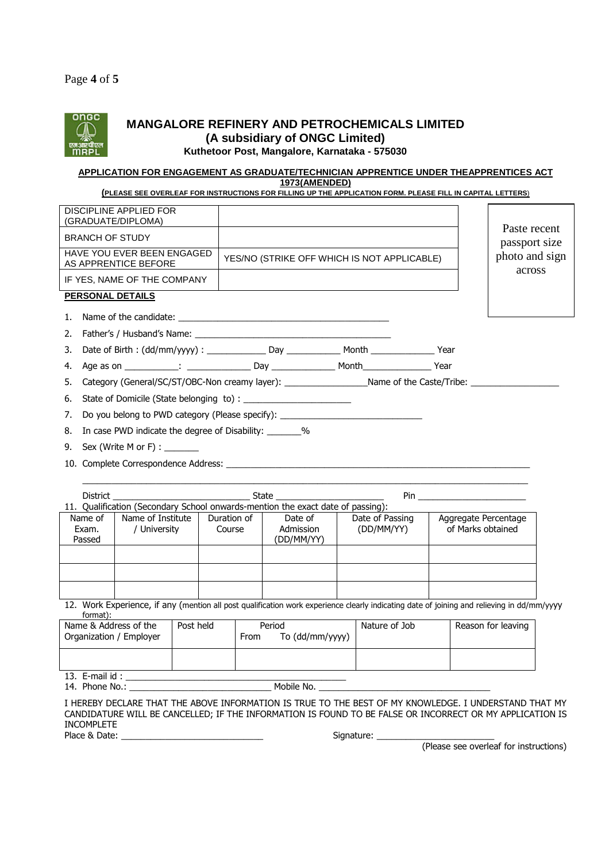

# **MANGALORE REFINERY AND PETROCHEMICALS LIMITED (A subsidiary of ONGC Limited)**

# **Kuthetoor Post, Mangalore, Karnataka - 575030**

#### **APPLICATION FOR ENGAGEMENT AS GRADUATE/TECHNICIAN APPRENTICE UNDER THEAPPRENTICES ACT 1973(AMENDED)**

**(PLEASE SEE OVERLEAF FOR INSTRUCTIONS FOR FILLING UP THE APPLICATION FORM. PLEASE FILL IN CAPITAL LETTERS**)

|                                                    | <b>DISCIPLINE APPLIED FOR</b><br>(GRADUATE/DIPLOMA)                                                            |                                             |  |  |                               |
|----------------------------------------------------|----------------------------------------------------------------------------------------------------------------|---------------------------------------------|--|--|-------------------------------|
| <b>BRANCH OF STUDY</b>                             |                                                                                                                |                                             |  |  | Paste recent<br>passport size |
| HAVE YOU EVER BEEN ENGAGED<br>AS APPRENTICE BEFORE |                                                                                                                | YES/NO (STRIKE OFF WHICH IS NOT APPLICABLE) |  |  | photo and sign                |
|                                                    | IF YES, NAME OF THE COMPANY                                                                                    |                                             |  |  | across                        |
|                                                    | PERSONAL DETAILS                                                                                               |                                             |  |  |                               |
|                                                    |                                                                                                                |                                             |  |  |                               |
|                                                    |                                                                                                                |                                             |  |  |                               |
| 3.                                                 |                                                                                                                |                                             |  |  |                               |
|                                                    |                                                                                                                |                                             |  |  |                               |
| 5.                                                 | Category (General/SC/ST/OBC-Non creamy layer): ____________________Name of the Caste/Tribe: __________________ |                                             |  |  |                               |
| 6.                                                 |                                                                                                                |                                             |  |  |                               |
| 7.                                                 | Do you belong to PWD category (Please specify): ________________________________                               |                                             |  |  |                               |
| 8.                                                 | In case PWD indicate the degree of Disability: ________%                                                       |                                             |  |  |                               |
|                                                    | 9. Sex (Write M or F) : $\frac{1}{\sqrt{1-\frac{1}{2}}}\$                                                      |                                             |  |  |                               |

10. Complete Correspondence Address: \_\_\_\_\_\_\_\_\_\_\_\_\_\_\_\_\_\_\_\_\_\_\_\_\_\_\_\_\_\_\_\_\_\_\_\_\_\_\_\_\_\_\_\_\_\_\_\_\_\_\_\_\_\_\_\_\_\_\_\_\_\_

| <b>District</b>            |                                                                                 | State                 |                                    | Pin                           |                                           |
|----------------------------|---------------------------------------------------------------------------------|-----------------------|------------------------------------|-------------------------------|-------------------------------------------|
|                            | 11. Qualification (Secondary School onwards-mention the exact date of passing): |                       |                                    |                               |                                           |
| Name of<br>Exam.<br>Passed | Name of Institute<br>University                                                 | Duration of<br>Course | Date of<br>Admission<br>(DD/MM/YY) | Date of Passing<br>(DD/MM/YY) | Aggregate Percentage<br>of Marks obtained |
|                            |                                                                                 |                       |                                    |                               |                                           |
|                            |                                                                                 |                       |                                    |                               |                                           |
|                            |                                                                                 |                       |                                    |                               |                                           |

12. Work Experience, if any (mention all post qualification work experience clearly indicating date of joining and relieving in dd/mm/yyyy format):

| Name & Address of the<br>Organization / Employer | Post held | Period<br>To (dd/mm/yyyy)<br>From | Nature of Job | Reason for leaving |  |  |
|--------------------------------------------------|-----------|-----------------------------------|---------------|--------------------|--|--|
|                                                  |           |                                   |               |                    |  |  |
| 13. $E$ -mail id:                                |           |                                   |               |                    |  |  |

14. Phone No.: \_\_\_\_\_\_\_\_\_\_\_\_\_\_\_\_\_\_\_\_\_\_\_\_\_\_\_\_\_ Mobile No. \_\_\_\_\_\_\_\_\_\_\_\_\_\_\_\_\_\_\_\_\_\_\_\_\_\_\_\_\_\_\_\_\_\_\_

I HEREBY DECLARE THAT THE ABOVE INFORMATION IS TRUE TO THE BEST OF MY KNOWLEDGE. I UNDERSTAND THAT MY CANDIDATURE WILL BE CANCELLED; IF THE INFORMATION IS FOUND TO BE FALSE OR INCORRECT OR MY APPLICATION IS **INCOMPLETE** Place & Date: \_\_\_\_\_\_\_\_\_\_\_\_\_\_\_\_\_\_\_\_\_\_\_\_\_\_\_\_\_ Signature: \_\_\_\_\_\_\_\_\_\_\_\_\_\_\_\_\_\_\_\_\_\_\_\_

(Please see overleaf for instructions)